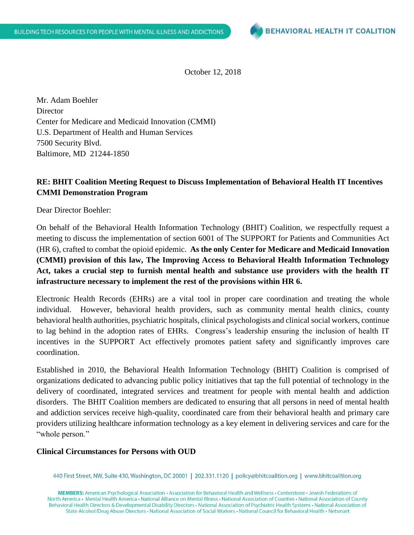

October 12, 2018

Mr. Adam Boehler **Director** Center for Medicare and Medicaid Innovation (CMMI) U.S. Department of Health and Human Services 7500 Security Blvd. Baltimore, MD 21244-1850

## **RE: BHIT Coalition Meeting Request to Discuss Implementation of Behavioral Health IT Incentives CMMI Demonstration Program**

Dear Director Boehler:

On behalf of the Behavioral Health Information Technology (BHIT) Coalition, we respectfully request a meeting to discuss the implementation of section 6001 of The SUPPORT for Patients and Communities Act (HR 6), crafted to combat the opioid epidemic. **As the only Center for Medicare and Medicaid Innovation (CMMI) provision of this law, The Improving Access to Behavioral Health Information Technology Act, takes a crucial step to furnish mental health and substance use providers with the health IT infrastructure necessary to implement the rest of the provisions within HR 6.** 

Electronic Health Records (EHRs) are a vital tool in proper care coordination and treating the whole individual. However, behavioral health providers, such as community mental health clinics, county behavioral health authorities, psychiatric hospitals, clinical psychologists and clinical social workers, continue to lag behind in the adoption rates of EHRs. Congress's leadership ensuring the inclusion of health IT incentives in the SUPPORT Act effectively promotes patient safety and significantly improves care coordination.

Established in 2010, the Behavioral Health Information Technology (BHIT) Coalition is comprised of organizations dedicated to advancing public policy initiatives that tap the full potential of technology in the delivery of coordinated, integrated services and treatment for people with mental health and addiction disorders. The BHIT Coalition members are dedicated to ensuring that all persons in need of mental health and addiction services receive high-quality, coordinated care from their behavioral health and primary care providers utilizing healthcare information technology as a key element in delivering services and care for the "whole person."

## **Clinical Circumstances for Persons with OUD**

440 First Street, NW, Suite 430, Washington, DC 20001 | 202.331.1120 | policy@bhitcoalition.org | www.bhitcoalition.org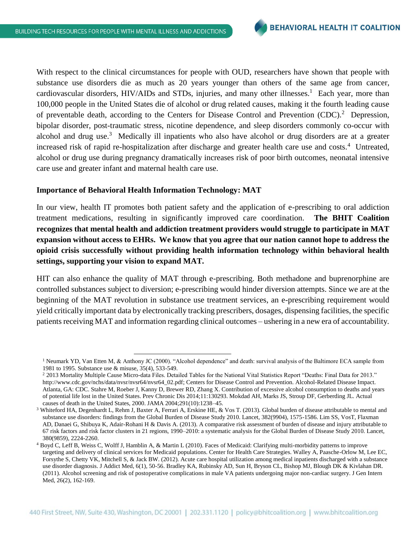With respect to the clinical circumstances for people with OUD, researchers have shown that people with substance use disorders die as much as 20 years younger than others of the same age from cancer, cardiovascular disorders, HIV/AIDs and STDs, injuries, and many other illnesses.<sup>1</sup> Each year, more than 100,000 people in the United States die of alcohol or drug related causes, making it the fourth leading cause of preventable death, according to the Centers for Disease Control and Prevention (CDC).<sup>2</sup> Depression, bipolar disorder, post-traumatic stress, nicotine dependence, and sleep disorders commonly co-occur with alcohol and drug use.<sup>3</sup> Medically ill inpatients who also have alcohol or drug disorders are at a greater increased risk of rapid re-hospitalization after discharge and greater health care use and costs.<sup>4</sup> Untreated, alcohol or drug use during pregnancy dramatically increases risk of poor birth outcomes, neonatal intensive care use and greater infant and maternal health care use.

## **Importance of Behavioral Health Information Technology: MAT**

l

In our view, health IT promotes both patient safety and the application of e-prescribing to oral addiction treatment medications, resulting in significantly improved care coordination. **The BHIT Coalition recognizes that mental health and addiction treatment providers would struggle to participate in MAT expansion without access to EHRs. We know that you agree that our nation cannot hope to address the opioid crisis successfully without providing health information technology within behavioral health settings, supporting your vision to expand MAT.**

HIT can also enhance the quality of MAT through e-prescribing. Both methadone and buprenorphine are controlled substances subject to diversion; e-prescribing would hinder diversion attempts. Since we are at the beginning of the MAT revolution in substance use treatment services, an e-prescribing requirement would yield critically important data by electronically tracking prescribers, dosages, dispensing facilities, the specific patients receiving MAT and information regarding clinical outcomes – ushering in a new era of accountability.

<sup>&</sup>lt;sup>1</sup> Neumark YD, Van Etten M, & Anthony JC (2000). "Alcohol dependence" and death: survival analysis of the Baltimore ECA sample from 1981 to 1995. Substance use & misuse, 35(4), 533-549.

<sup>&</sup>lt;sup>2</sup> 2013 Mortality Multiple Cause Micro-data Files. Detailed Tables for the National Vital Statistics Report "Deaths: Final Data for 2013." [http://www.cdc.gov/nchs/data/nvsr/nvsr64/nvsr64\\_02.pdf;](http://www.cdc.gov/nchs/data/nvsr/nvsr64/nvsr64_02.pdf) Centers for Disease Control and Prevention. Alcohol-Related Disease Impact. Atlanta, GA: CDC. Stahre M, Roeber J, Kanny D, Brewer RD, Zhang X. Contribution of excessive alcohol consumption to deaths and years of potential life lost in the United States. Prev Chronic Dis 2014;11:130293. Mokdad AH, Marks JS, Stroup DF, Gerberding JL. Actual causes of death in the United States, 2000. JAMA 2004;291(10):1238–45.

<sup>3</sup> Whiteford HA, Degenhardt L, Rehm J, Baxter A, Ferrari A, Erskine HE, & Vos T. (2013). Global burden of disease attributable to mental and substance use disorders: findings from the Global Burden of Disease Study 2010. Lancet, 382(9904), 1575-1586. Lim SS, VosT, Flaxman AD, Danaei G, Shibuya K, Adair-Rohani H & Davis A. (2013). A comparative risk assessment of burden of disease and injury attributable to 67 risk factors and risk factor clusters in 21 regions, 1990–2010: a systematic analysis for the Global Burden of Disease Study 2010. Lancet, 380(9859), 2224-2260.

<sup>4</sup> Boyd C, Leff B, Weiss C, Wolff J, Hamblin A, & Martin L (2010). Faces of Medicaid: Clarifying multi-morbidity patterns to improve targeting and delivery of clinical services for Medicaid populations. Center for Health Care Strategies. Walley A, Paasche-Orlow M, Lee EC, Forsythe S, Chetty VK, Mitchell S, & Jack BW. (2012). Acute care hospital utilization among medical inpatients discharged with a substance use disorder diagnosis. J Addict Med, 6(1), 50-56. Bradley KA, Rubinsky AD, Sun H, Bryson CL, Bishop MJ, Blough DK & Kivlahan DR. (2011). Alcohol screening and risk of postoperative complications in male VA patients undergoing major non-cardiac surgery. J Gen Intern Med, 26(2), 162-169.